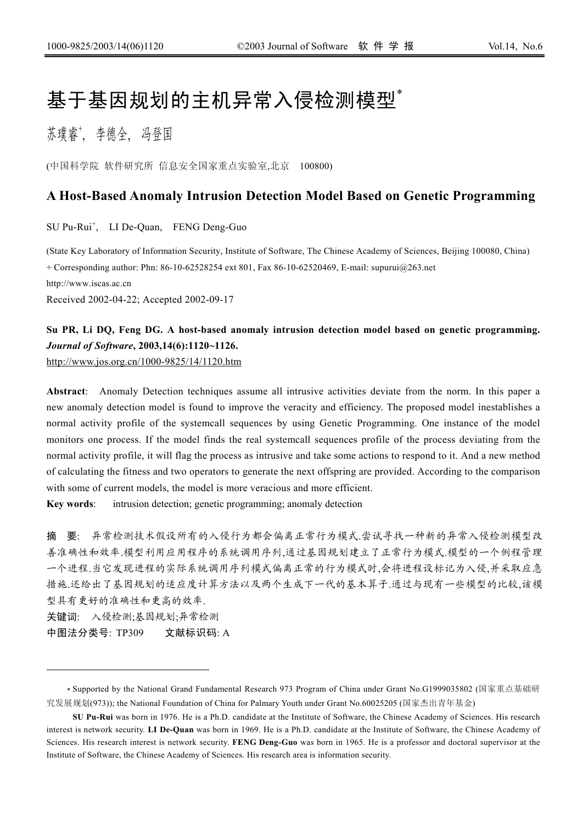# 基于基因规划的主机异常入侵检测模型 $^*$

苏璞睿\*, 李德全, 冯登国

(中国科学院 软件研究所 信息安全国家重点实验室,北京 100800)

# **A Host-Based Anomaly Intrusion Detection Model Based on Genetic Programming**

SU Pu-Rui<sup>+</sup>, LI De-Quan, FENG Deng-Guo

(State Key Laboratory of Information Security, Institute of Software, The Chinese Academy of Sciences, Beijing 100080, China) + Corresponding author: Phn: 86-10-62528254 ext 801, Fax 86-10-62520469, E-mail: supurui@263.net http://www.iscas.ac.cn Received 2002-04-22; Accepted 2002-09-17

# **Su PR, Li DQ, Feng DG. A host-based anomaly intrusion detection model based on genetic programming.** *Journal of Software***, 2003,14(6):1120~1126.**  <http://www.jos.org.cn/1000-9825/14/1120.htm>

**Abstract**: Anomaly Detection techniques assume all intrusive activities deviate from the norm. In this paper a new anomaly detection model is found to improve the veracity and efficiency. The proposed model inestablishes a normal activity profile of the systemcall sequences by using Genetic Programming. One instance of the model monitors one process. If the model finds the real systemcall sequences profile of the process deviating from the normal activity profile, it will flag the process as intrusive and take some actions to respond to it. And a new method of calculating the fitness and two operators to generate the next offspring are provided. According to the comparison with some of current models, the model is more veracious and more efficient.

**Key words**: intrusion detection; genetic programming; anomaly detection

摘 要: 异常检测技术假设所有的入侵行为都会偏离正常行为模式.尝试寻找一种新的异常入侵检测模型改 善准确性和效率.模型利用应用程序的系统调用序列,通过基因规划建立了正常行为模式.模型的一个例程管理 一个进程.当它发现进程的实际系统调用序列模式偏离正常的行为模式时,会将进程设标记为入侵,并采取应急 措施.还给出了基因规划的适应度计算方法以及两个生成下一代的基本算子.通过与现有一些模型的比较,该模 型具有更好的准确性和更高的效率.

关键词: 入侵检测;基因规划;异常检测

 $\overline{a}$ 

中图法分类号: TP309 文献标识码: A

<sup>∗</sup> Supported by the National Grand Fundamental Research 973 Program of China under Grant No.G1999035802 (国家重点基础研 究发展规划(973)); the National Foundation of China for Palmary Youth under Grant No.60025205 (国家杰出青年基金)

**SU Pu-Rui** was born in 1976. He is a Ph.D. candidate at the Institute of Software, the Chinese Academy of Sciences. His research interest is network security. **LI De-Quan** was born in 1969. He is a Ph.D. candidate at the Institute of Software, the Chinese Academy of Sciences. His research interest is network security. **FENG Deng-Guo** was born in 1965. He is a professor and doctoral supervisor at the Institute of Software, the Chinese Academy of Sciences. His research area is information security.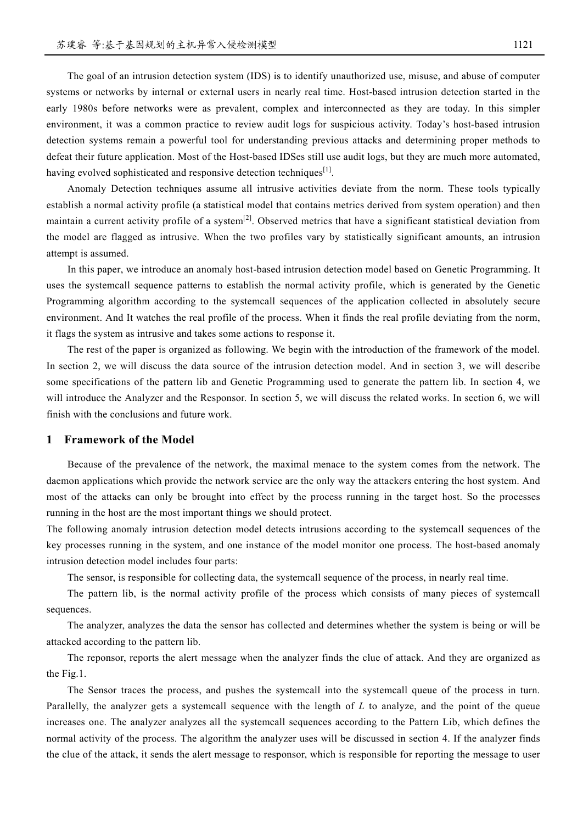The goal of an intrusion detection system (IDS) is to identify unauthorized use, misuse, and abuse of computer systems or networks by internal or external users in nearly real time. Host-based intrusion detection started in the early 1980s before networks were as prevalent, complex and interconnected as they are today. In this simpler environment, it was a common practice to review audit logs for suspicious activity. Today's host-based intrusion detection systems remain a powerful tool for understanding previous attacks and determining proper methods to defeat their future application. Most of the Host-based IDSes still use audit logs, but they are much more automated, having evolved sophisticated and responsive detection techniques<sup>[1]</sup>.

Anomaly Detection techniques assume all intrusive activities deviate from the norm. These tools typically establish a normal activity profile (a statistical model that contains metrics derived from system operation) and then maintain a current activity profile of a system $^{[2]}$ . Observed metrics that have a significant statistical deviation from the model are flagged as intrusive. When the two profiles vary by statistically significant amounts, an intrusion attempt is assumed.

In this paper, we introduce an anomaly host-based intrusion detection model based on Genetic Programming. It uses the systemcall sequence patterns to establish the normal activity profile, which is generated by the Genetic Programming algorithm according to the systemcall sequences of the application collected in absolutely secure environment. And It watches the real profile of the process. When it finds the real profile deviating from the norm, it flags the system as intrusive and takes some actions to response it.

The rest of the paper is organized as following. We begin with the introduction of the framework of the model. In section 2, we will discuss the data source of the intrusion detection model. And in section 3, we will describe some specifications of the pattern lib and Genetic Programming used to generate the pattern lib. In section 4, we will introduce the Analyzer and the Responsor. In section 5, we will discuss the related works. In section 6, we will finish with the conclusions and future work.

## **1 Framework of the Model**

Because of the prevalence of the network, the maximal menace to the system comes from the network. The daemon applications which provide the network service are the only way the attackers entering the host system. And most of the attacks can only be brought into effect by the process running in the target host. So the processes running in the host are the most important things we should protect.

The following anomaly intrusion detection model detects intrusions according to the systemcall sequences of the key processes running in the system, and one instance of the model monitor one process. The host-based anomaly intrusion detection model includes four parts:

The sensor, is responsible for collecting data, the systemcall sequence of the process, in nearly real time.

The pattern lib, is the normal activity profile of the process which consists of many pieces of systemcall sequences.

The analyzer, analyzes the data the sensor has collected and determines whether the system is being or will be attacked according to the pattern lib.

The reponsor, reports the alert message when the analyzer finds the clue of attack. And they are organized as the Fig.1.

The Sensor traces the process, and pushes the systemcall into the systemcall queue of the process in turn. Parallelly, the analyzer gets a systemcall sequence with the length of *L* to analyze, and the point of the queue increases one. The analyzer analyzes all the systemcall sequences according to the Pattern Lib, which defines the normal activity of the process. The algorithm the analyzer uses will be discussed in section 4. If the analyzer finds the clue of the attack, it sends the alert message to responsor, which is responsible for reporting the message to user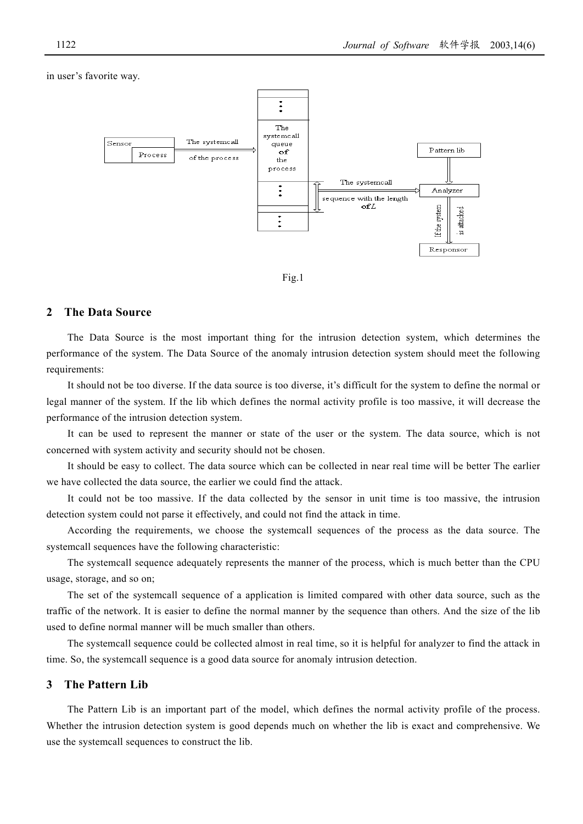### in user's favorite way.





## **2 The Data Source**

The Data Source is the most important thing for the intrusion detection system, which determines the performance of the system. The Data Source of the anomaly intrusion detection system should meet the following requirements:

It should not be too diverse. If the data source is too diverse, it's difficult for the system to define the normal or legal manner of the system. If the lib which defines the normal activity profile is too massive, it will decrease the performance of the intrusion detection system.

It can be used to represent the manner or state of the user or the system. The data source, which is not concerned with system activity and security should not be chosen.

It should be easy to collect. The data source which can be collected in near real time will be better The earlier we have collected the data source, the earlier we could find the attack.

It could not be too massive. If the data collected by the sensor in unit time is too massive, the intrusion detection system could not parse it effectively, and could not find the attack in time.

According the requirements, we choose the systemcall sequences of the process as the data source. The systemcall sequences have the following characteristic:

The systemcall sequence adequately represents the manner of the process, which is much better than the CPU usage, storage, and so on;

The set of the systemcall sequence of a application is limited compared with other data source, such as the traffic of the network. It is easier to define the normal manner by the sequence than others. And the size of the lib used to define normal manner will be much smaller than others.

The systemcall sequence could be collected almost in real time, so it is helpful for analyzer to find the attack in time. So, the systemcall sequence is a good data source for anomaly intrusion detection.

# **3 The Pattern Lib**

The Pattern Lib is an important part of the model, which defines the normal activity profile of the process. Whether the intrusion detection system is good depends much on whether the lib is exact and comprehensive. We use the systemcall sequences to construct the lib.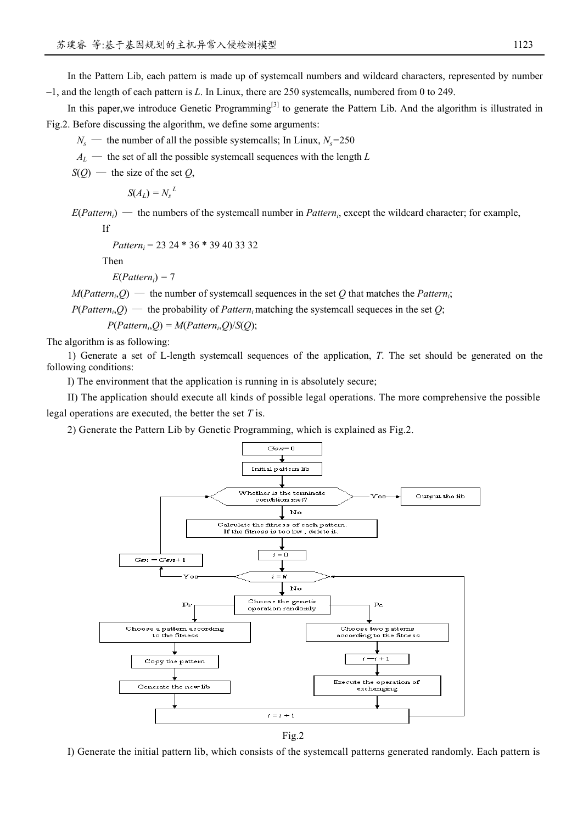In the Pattern Lib, each pattern is made up of systemcall numbers and wildcard characters, represented by number

–1, and the length of each pattern is *L*. In Linux, there are 250 systemcalls, numbered from 0 to 249.

In this paper, we introduce Genetic Programming<sup>[3]</sup> to generate the Pattern Lib. And the algorithm is illustrated in Fig.2. Before discussing the algorithm, we define some arguments:

 $N_s$  — the number of all the possible systemcalls; In Linux,  $N_s$ =250

 $A_L$  — the set of all the possible systemcall sequences with the length *L* 

 $S(Q)$  — the size of the set *Q*,

$$
S(A_L) = N_s^{\phantom{S}L}
$$

 $E(Pattern_i)$  — the numbers of the systemcall number in *Pattern<sub>i</sub>*, except the wildcard character; for example, If

*Patterni =* 23 24 \* 36 \* 39 40 33 32

Then

 $E(Patten_i) = 7$ 

 $M(Pattern<sub>i</sub>, Q)$  — the number of systemcall sequences in the set *Q* that matches the *Patterni*;

 $P(Patten_i, O)$  — the probability of *Pattern*<sub>i</sub> matching the systemcall sequeces in the set *O*;

 $P(Patten_i, Q) = M(Patten_i, Q)/S(Q);$ 

The algorithm is as following:

1) Generate a set of L-length systemcall sequences of the application, *T*. The set should be generated on the following conditions:

I) The environment that the application is running in is absolutely secure;

II) The application should execute all kinds of possible legal operations. The more comprehensive the possible legal operations are executed, the better the set *T* is.

2) Generate the Pattern Lib by Genetic Programming, which is explained as Fig.2.



Fig.2

I) Generate the initial pattern lib, which consists of the systemcall patterns generated randomly. Each pattern is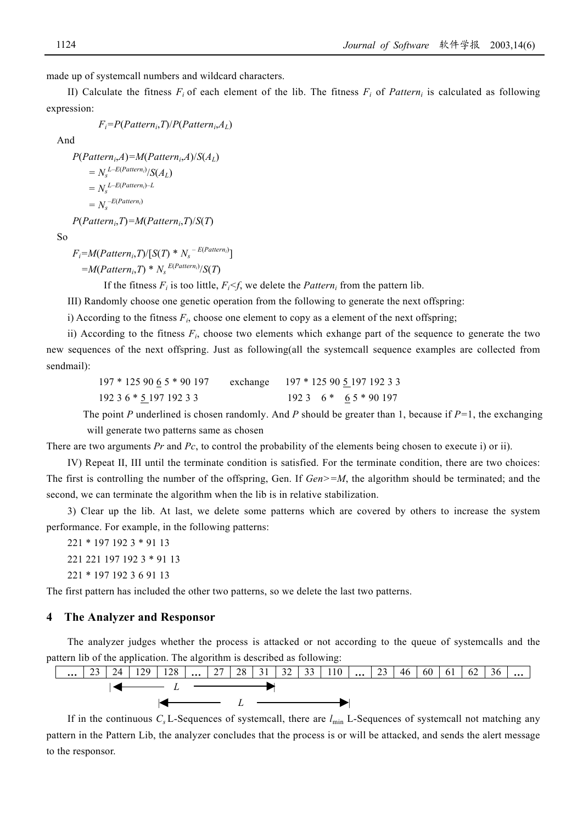made up of systemcall numbers and wildcard characters.

II) Calculate the fitness  $F_i$  of each element of the lib. The fitness  $F_i$  of *Pattern<sub>i</sub>* is calculated as following expression:

```
 Fi=P(Patterni,T)/P(Patterni,AL)
```
And

 $P(Patten_i, A) = M(Patten_i, A)/S(A_L)$  $=N_s^{L-E(Patten_i)}/S(A_L)$  $N_s^{L-E(Patten_i)-L}$  $=N_s^{-E(Patten_i)}$  *P*(*Patterni*,*T*)*=M*(*Patterni*,*T*)/*S*(*T*)

So

 $F_i = M(Pattern_i, T) / [S(T) * N_s - E(Pattern_i)]$ 

 $=M(Patten_i,T) * N_s^{E(Patten_i)}/S(T)$ 

If the fitness  $F_i$  is too little,  $F_i \leq f$ , we delete the *Pattern<sub>i</sub>* from the pattern lib.

III) Randomly choose one genetic operation from the following to generate the next offspring:

i) According to the fitness  $F_i$ , choose one element to copy as a element of the next offspring;

ii) According to the fitness  $F_i$ , choose two elements which exhange part of the sequence to generate the two new sequences of the next offspring. Just as following(all the systemcall sequence examples are collected from sendmail):

| $197 * 1259065 * 90197$ |  | exchange 197 * 125 90 5 197 192 3 3 |
|-------------------------|--|-------------------------------------|
| 192 3 6 * 5 197 192 3 3 |  | $1923 \quad 6* \quad 65*90197$      |

 The point *P* underlined is chosen randomly. And *P* should be greater than 1, because if *P=*1, the exchanging will generate two patterns same as chosen

There are two arguments *Pr* and *Pc*, to control the probability of the elements being chosen to execute i) or ii).

IV) Repeat II, III until the terminate condition is satisfied. For the terminate condition, there are two choices: The first is controlling the number of the offspring, Gen. If *Gen>=M*, the algorithm should be terminated; and the second, we can terminate the algorithm when the lib is in relative stabilization.

3) Clear up the lib. At last, we delete some patterns which are covered by others to increase the system performance. For example, in the following patterns:

221 \* 197 192 3 \* 91 13 221 221 197 192 3 \* 91 13

221 \* 197 192 3 6 91 13

The first pattern has included the other two patterns, so we delete the last two patterns.

#### **4 The Analyzer and Responsor**

The analyzer judges whether the process is attacked or not according to the queue of systemcalls and the pattern lib of the application. The algorithm is described as following:



If in the continuous *Cs* L-Sequences of systemcall, there are *l*min L-Sequences of systemcall not matching any pattern in the Pattern Lib, the analyzer concludes that the process is or will be attacked, and sends the alert message to the responsor.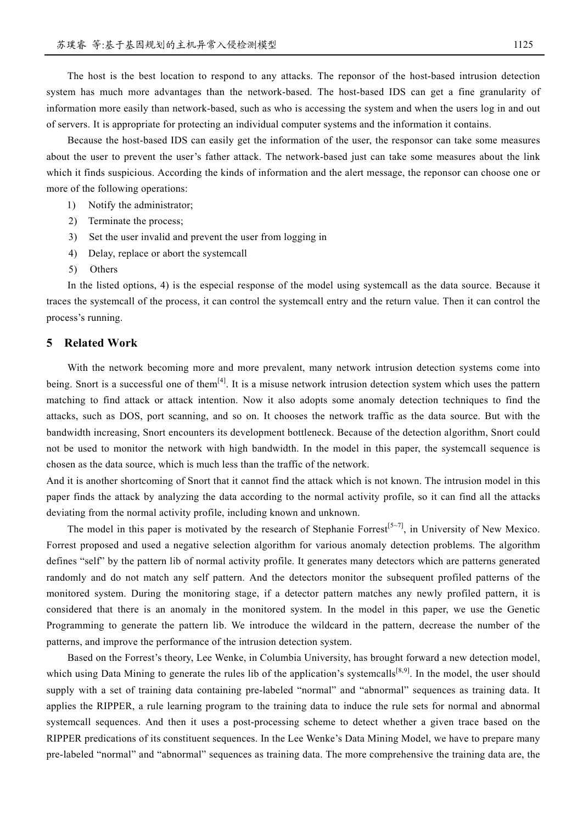The host is the best location to respond to any attacks. The reponsor of the host-based intrusion detection system has much more advantages than the network-based. The host-based IDS can get a fine granularity of information more easily than network-based, such as who is accessing the system and when the users log in and out of servers. It is appropriate for protecting an individual computer systems and the information it contains.

Because the host-based IDS can easily get the information of the user, the responsor can take some measures about the user to prevent the user's father attack. The network-based just can take some measures about the link which it finds suspicious. According the kinds of information and the alert message, the reponsor can choose one or more of the following operations:

- 1) Notify the administrator;
- 2) Terminate the process;
- 3) Set the user invalid and prevent the user from logging in
- 4) Delay, replace or abort the systemcall
- 5) Others

In the listed options, 4) is the especial response of the model using systemcall as the data source. Because it traces the systemcall of the process, it can control the systemcall entry and the return value. Then it can control the process's running.

## **5 Related Work**

With the network becoming more and more prevalent, many network intrusion detection systems come into being. Snort is a successful one of them<sup>[4]</sup>. It is a misuse network intrusion detection system which uses the pattern matching to find attack or attack intention. Now it also adopts some anomaly detection techniques to find the attacks, such as DOS, port scanning, and so on. It chooses the network traffic as the data source. But with the bandwidth increasing, Snort encounters its development bottleneck. Because of the detection algorithm, Snort could not be used to monitor the network with high bandwidth. In the model in this paper, the systemcall sequence is chosen as the data source, which is much less than the traffic of the network.

And it is another shortcoming of Snort that it cannot find the attack which is not known. The intrusion model in this paper finds the attack by analyzing the data according to the normal activity profile, so it can find all the attacks deviating from the normal activity profile, including known and unknown.

The model in this paper is motivated by the research of Stephanie Forrest<sup>[5~7]</sup>, in University of New Mexico. Forrest proposed and used a negative selection algorithm for various anomaly detection problems. The algorithm defines "self" by the pattern lib of normal activity profile. It generates many detectors which are patterns generated randomly and do not match any self pattern. And the detectors monitor the subsequent profiled patterns of the monitored system. During the monitoring stage, if a detector pattern matches any newly profiled pattern, it is considered that there is an anomaly in the monitored system. In the model in this paper, we use the Genetic Programming to generate the pattern lib. We introduce the wildcard in the pattern, decrease the number of the patterns, and improve the performance of the intrusion detection system.

Based on the Forrest's theory, Lee Wenke, in Columbia University, has brought forward a new detection model, which using Data Mining to generate the rules lib of the application's systemcalls<sup>[8,9]</sup>. In the model, the user should supply with a set of training data containing pre-labeled "normal" and "abnormal" sequences as training data. It applies the RIPPER, a rule learning program to the training data to induce the rule sets for normal and abnormal systemcall sequences. And then it uses a post-processing scheme to detect whether a given trace based on the RIPPER predications of its constituent sequences. In the Lee Wenke's Data Mining Model, we have to prepare many pre-labeled "normal" and "abnormal" sequences as training data. The more comprehensive the training data are, the